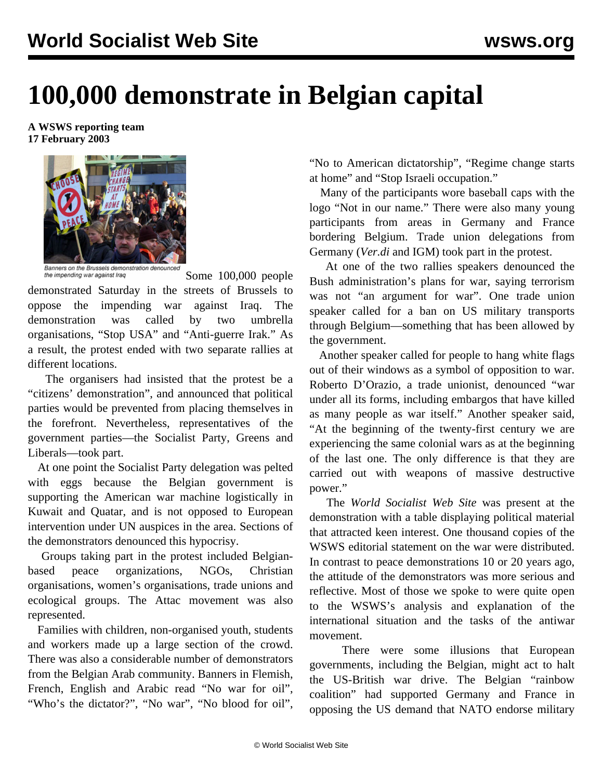## **100,000 demonstrate in Belgian capital**

## **A WSWS reporting team 17 February 2003**



Banners on the Brussels demonstration denounced

the impending war against Iraq Some 100,000 people demonstrated Saturday in the streets of Brussels to oppose the impending war against Iraq. The demonstration was called by two umbrella organisations, "Stop USA" and "Anti-guerre Irak." As a result, the protest ended with two separate rallies at different locations.

 The organisers had insisted that the protest be a "citizens' demonstration", and announced that political parties would be prevented from placing themselves in the forefront. Nevertheless, representatives of the government parties—the Socialist Party, Greens and Liberals—took part.

 At one point the Socialist Party delegation was pelted with eggs because the Belgian government is supporting the American war machine logistically in Kuwait and Quatar, and is not opposed to European intervention under UN auspices in the area. Sections of the demonstrators denounced this hypocrisy.

 Groups taking part in the protest included Belgianbased peace organizations, NGOs, Christian organisations, women's organisations, trade unions and ecological groups. The Attac movement was also represented.

 Families with children, non-organised youth, students and workers made up a large section of the crowd. There was also a considerable number of demonstrators from the Belgian Arab community. Banners in Flemish, French, English and Arabic read "No war for oil", "Who's the dictator?", "No war", "No blood for oil",

"No to American dictatorship", "Regime change starts at home" and "Stop Israeli occupation."

 Many of the participants wore baseball caps with the logo "Not in our name." There were also many young participants from areas in Germany and France bordering Belgium. Trade union delegations from Germany (*Ver.di* and IGM) took part in the protest.

 At one of the two rallies speakers denounced the Bush administration's plans for war, saying terrorism was not "an argument for war". One trade union speaker called for a ban on US military transports through Belgium—something that has been allowed by the government.

 Another speaker called for people to hang white flags out of their windows as a symbol of opposition to war. Roberto D'Orazio, a trade unionist, denounced "war under all its forms, including embargos that have killed as many people as war itself." Another speaker said, "At the beginning of the twenty-first century we are experiencing the same colonial wars as at the beginning of the last one. The only difference is that they are carried out with weapons of massive destructive power."

 The *World Socialist Web Site* was present at the demonstration with a table displaying political material that attracted keen interest. One thousand copies of the WSWS editorial statement on the war were distributed. In contrast to peace demonstrations 10 or 20 years ago, the attitude of the demonstrators was more serious and reflective. Most of those we spoke to were quite open to the WSWS's analysis and explanation of the international situation and the tasks of the antiwar movement.

 There were some illusions that European governments, including the Belgian, might act to halt the US-British war drive. The Belgian "rainbow coalition" had supported Germany and France in opposing the US demand that NATO endorse military